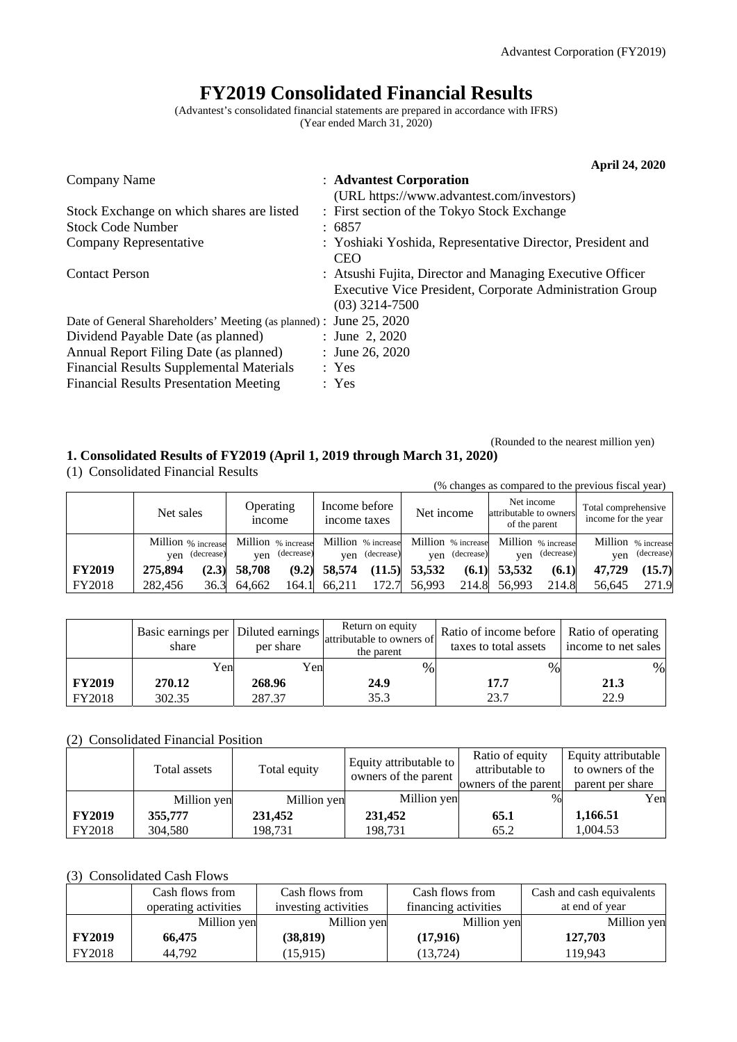# **FY2019 Consolidated Financial Results**

(Advantest's consolidated financial statements are prepared in accordance with IFRS) (Year ended March 31, 2020)

|                                                                    | <b>April 24, 2020</b>                                                    |
|--------------------------------------------------------------------|--------------------------------------------------------------------------|
| Company Name                                                       | : Advantest Corporation                                                  |
|                                                                    | (URL https://www.advantest.com/investors)                                |
| Stock Exchange on which shares are listed                          | : First section of the Tokyo Stock Exchange                              |
| <b>Stock Code Number</b>                                           | : 6857                                                                   |
| Company Representative                                             | : Yoshiaki Yoshida, Representative Director, President and<br><b>CEO</b> |
| <b>Contact Person</b>                                              | : Atsushi Fujita, Director and Managing Executive Officer                |
|                                                                    | Executive Vice President, Corporate Administration Group                 |
|                                                                    | $(03)$ 3214-7500                                                         |
| Date of General Shareholders' Meeting (as planned) : June 25, 2020 |                                                                          |
| Dividend Payable Date (as planned)                                 | : June 2, 2020                                                           |
| Annual Report Filing Date (as planned)                             | : June 26, 2020                                                          |
| <b>Financial Results Supplemental Materials</b>                    | : Yes                                                                    |
| <b>Financial Results Presentation Meeting</b>                      | : Yes                                                                    |

## (Rounded to the nearest million yen)

## **1. Consolidated Results of FY2019 (April 1, 2019 through March 31, 2020)**

(1) Consolidated Financial Results

|               |                                      |                            |                                                                            |                 |                                                       | (% changes as compared to the previous fiscal year) |  |
|---------------|--------------------------------------|----------------------------|----------------------------------------------------------------------------|-----------------|-------------------------------------------------------|-----------------------------------------------------|--|
|               | Net sales                            | Operating<br><i>n</i> come | Income before<br>income taxes                                              | Net income      | Net income<br>attributable to owners<br>of the parent | Total comprehensive<br>income for the year          |  |
|               | Million % increase<br>yen (decrease) | yen (decrease)             | Million % increase Million % increase Million % increase<br>yen (decrease) | yen (decrease)  | Million % increase<br>(decrease)<br>ven               | Million % increase<br>(decrease)<br>ven             |  |
| <b>FY2019</b> | 275,894<br>(2.3)                     | 58,708<br>(9.2)            | 58,574<br>(11.5)                                                           | 53,532<br>(6.1) | 53,532<br>(6.1)                                       | (15.7)<br>47.729                                    |  |
| FY2018        | 282,456<br>36.3                      | 64.662<br>164.1            | 172.7<br>66,211                                                            | 56,993          | 214.8 56,993<br>214.8                                 | 271.9<br>56.645                                     |  |

|               | Basic earnings per   Diluted earnings  <br>share | per share | Return on equity<br>attributable to owners of<br>the parent | Ratio of income before   Ratio of operating<br>taxes to total assets | income to net sales |
|---------------|--------------------------------------------------|-----------|-------------------------------------------------------------|----------------------------------------------------------------------|---------------------|
|               | Yen                                              | Yenl      | $\%$                                                        | %                                                                    | %                   |
| <b>FY2019</b> | 270.12                                           | 268.96    | 24.9                                                        | 17.7                                                                 | 21.3                |
| FY2018        | 302.35                                           | 287.37    | 35.3                                                        | 23.7                                                                 | 22.9                |

## (2) Consolidated Financial Position

|               | Total assets | Total equity | Equity attributable to<br>$\frac{1}{2}$ owners of the parent $\frac{1}{2}$ owners of the parent | Ratio of equity<br>attributable to | Equity attributable<br>to owners of the<br>parent per share |
|---------------|--------------|--------------|-------------------------------------------------------------------------------------------------|------------------------------------|-------------------------------------------------------------|
|               | Million yen  | Million yen  | Million yen                                                                                     |                                    | Yen                                                         |
| <b>FY2019</b> | 355,777      | 231,452      | 231,452                                                                                         | 65.1                               | 1,166.51                                                    |
| FY2018        | 304.580      | 198,731      | 198,731                                                                                         | 65.2                               | 1,004.53                                                    |

## (3) Consolidated Cash Flows

|               | Cash flows from      | Cash flows from      | Cash flows from      | Cash and cash equivalents |
|---------------|----------------------|----------------------|----------------------|---------------------------|
|               | operating activities | investing activities | financing activities | at end of year            |
|               | Million yen          | Million yen          | Million yen          | Million yen               |
| <b>FY2019</b> | 66,475               | (38, 819)            | (17,916)             | 127,703                   |
| FY2018        | 44.792               | (15, 915)            | (13, 724)            | 119.943                   |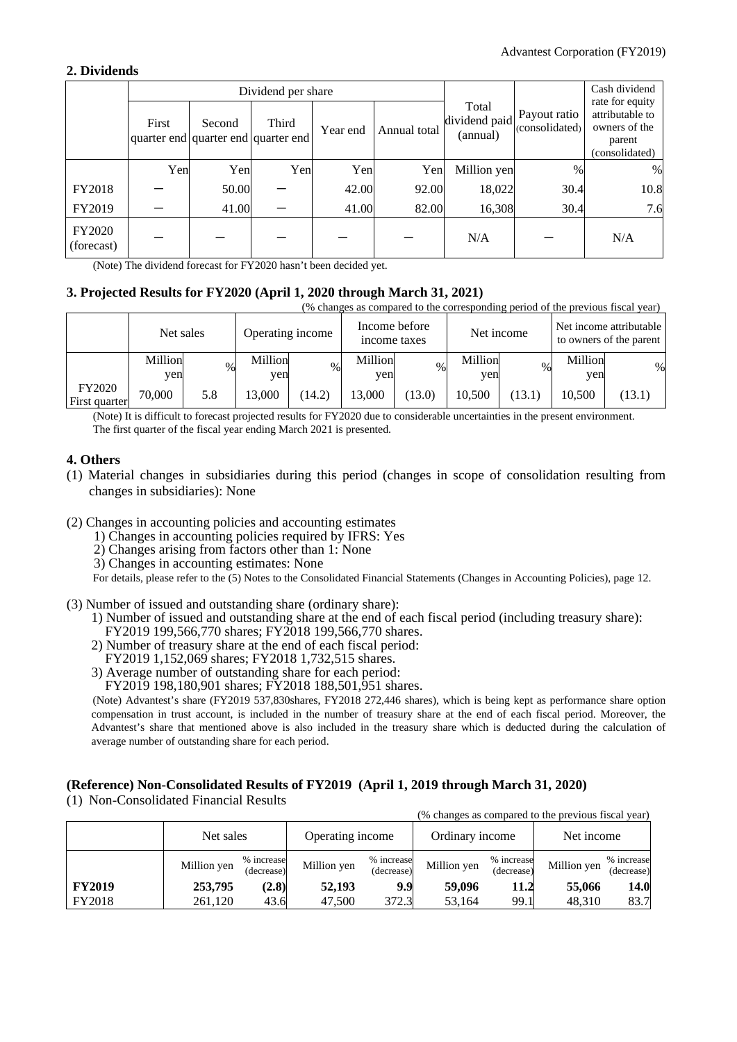## **2. Dividends**

|                             |       |        | Dividend per share                           |          |              | Cash dividend<br>rate for equity   |                                |                                                              |  |
|-----------------------------|-------|--------|----------------------------------------------|----------|--------------|------------------------------------|--------------------------------|--------------------------------------------------------------|--|
|                             | First | Second | Third<br>quarter end quarter end quarter end | Year end | Annual total | Total<br>dividend paid<br>(annual) | Payout ratio<br>(consolidated) | attributable to<br>owners of the<br>parent<br>(consolidated) |  |
|                             | Yen   | Yen    | Yen                                          | Yen      | Yen          | Million yen                        | %                              | $\%$                                                         |  |
| FY2018                      |       | 50.00  |                                              | 42.00    | 92.00        | 18,022                             | 30.4                           | 10.8                                                         |  |
| FY2019                      |       | 41.00  |                                              | 41.00    | 82.00        | 16,308                             | 30.4                           | 7.6                                                          |  |
| <b>FY2020</b><br>(forecast) |       |        |                                              |          |              | N/A                                |                                | N/A                                                          |  |

(Note) The dividend forecast for FY2020 hasn't been decided yet.

## **3. Projected Results for FY2020 (April 1, 2020 through March 31, 2021)**

(% changes as compared to the corresponding period of the previous fiscal year)

|                         | Net sales      |      | Operating income |        | Income before<br>income taxes |        | Net income     |        |                | Net income attributable<br>to owners of the parent |
|-------------------------|----------------|------|------------------|--------|-------------------------------|--------|----------------|--------|----------------|----------------------------------------------------|
|                         | Million<br>yen | $\%$ | Million<br>ven   | $\%$   | Million<br>ven                | $\%$   | Million<br>yen | $\%$   | Million<br>ven | %                                                  |
| FY2020<br>First quarter | 70,000         | 5.8  | 13.000           | (14.2) | 13.000                        | (13.0) | 10.500         | (13.1) | 10.500         | (13.1)                                             |

(Note) It is difficult to forecast projected results for FY2020 due to considerable uncertainties in the present environment. The first quarter of the fiscal year ending March 2021 is presented.

## **4. Others**

- (1) Material changes in subsidiaries during this period (changes in scope of consolidation resulting from changes in subsidiaries): None
- (2) Changes in accounting policies and accounting estimates
	- 1) Changes in accounting policies required by IFRS: Yes
	- 2) Changes arising from factors other than 1: None
	- 3) Changes in accounting estimates: None

For details, please refer to the (5) Notes to the Consolidated Financial Statements (Changes in Accounting Policies), page 12.

- (3) Number of issued and outstanding share (ordinary share):
	- 1) Number of issued and outstanding share at the end of each fiscal period (including treasury share): FY2019 199,566,770 shares; FY2018 199,566,770 shares.
	- 2) Number of treasury share at the end of each fiscal period:
	- FY2019 1,152,069 shares; FY2018 1,732,515 shares.
	- 3) Average number of outstanding share for each period:
	- FY2019 198,180,901 shares; FY2018 188,501,951 shares.

(Note) Advantest's share (FY2019 537,830shares, FY2018 272,446 shares), which is being kept as performance share option compensation in trust account, is included in the number of treasury share at the end of each fiscal period. Moreover, the Advantest's share that mentioned above is also included in the treasury share which is deducted during the calculation of average number of outstanding share for each period.

## **(Reference) Non-Consolidated Results of FY2019 (April 1, 2019 through March 31, 2020)**

(1) Non-Consolidated Financial Results

(% changes as compared to the previous fiscal year)

|               | Net sales   |                          | Operating income |                          | Ordinary income |                          | Net income  |                          |
|---------------|-------------|--------------------------|------------------|--------------------------|-----------------|--------------------------|-------------|--------------------------|
|               | Million yen | % increase<br>(decrease) | Million yen      | % increase<br>(decrease) | Million yen     | % increase<br>(decrease) | Million yen | % increase<br>(decrease) |
| <b>FY2019</b> | 253,795     | (2.8)                    | 52,193           | 9.9                      | 59,096          | 11.2                     | 55,066      | 14.0                     |
| FY2018        | 261,120     | 43.6                     | 47,500           | 372.3                    | 53,164          | 99.1                     | 48,310      | 83.7                     |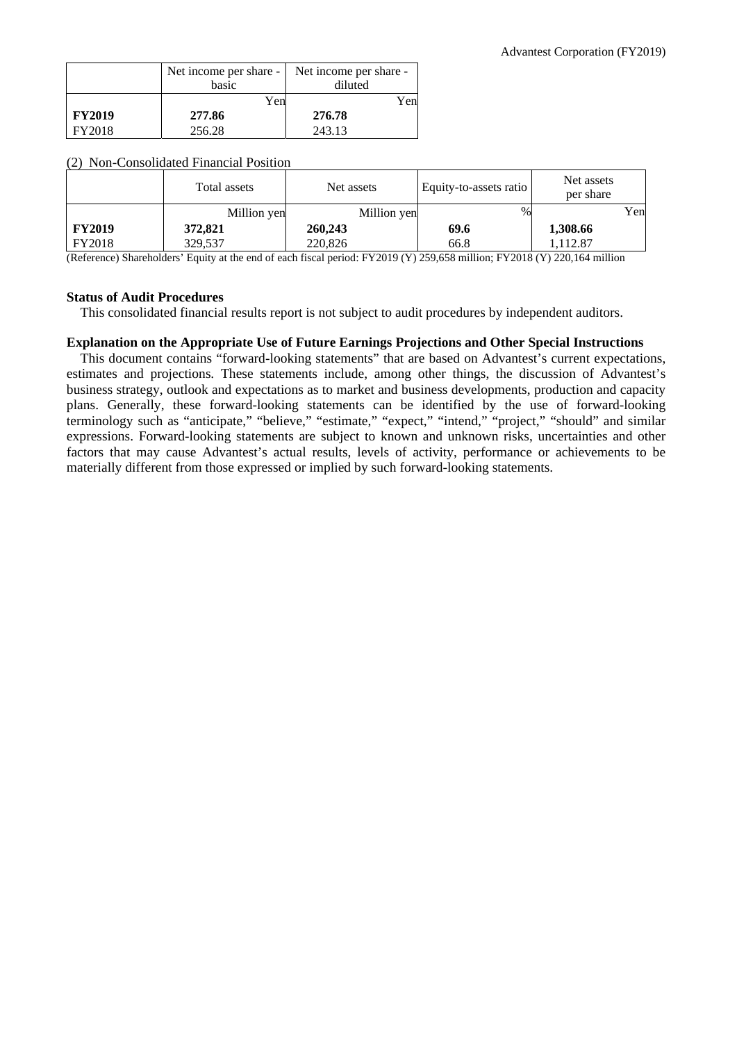|               | Net income per share -<br>basic | Net income per share -<br>diluted |
|---------------|---------------------------------|-----------------------------------|
|               | Yen                             | Yen                               |
| <b>FY2019</b> | 277.86                          | 276.78                            |
| FY2018        | 256.28                          | 243.13                            |

#### (2) Non-Consolidated Financial Position

|               | Total assets | Net assets<br>Equity-to-assets ratio                                                                                                                                                            |      | Net assets<br>per share |     |
|---------------|--------------|-------------------------------------------------------------------------------------------------------------------------------------------------------------------------------------------------|------|-------------------------|-----|
|               | Million yen  | Million yen                                                                                                                                                                                     | $\%$ |                         | Yen |
| <b>FY2019</b> | 372,821      | 260,243                                                                                                                                                                                         | 69.6 | 1,308.66                |     |
| FY2018        | 329.537      | 220,826                                                                                                                                                                                         | 66.8 | .112.87                 |     |
|               |              | $(D_1, \ldots, D_n)$ $D_1, \ldots, D_n$ $D_2, \ldots, D_n$ $D_1, \ldots, D_n$ $D_2, \ldots, D_n$ $D_3, \ldots, D_n$ $D_4, \ldots, D_n$ $D_5, \ldots, D_n$ $D_6, \ldots, D_n$ $D_7, \ldots, D_n$ |      |                         |     |

(Reference) Shareholders' Equity at the end of each fiscal period: FY2019 (Y) 259,658 million; FY2018 (Y) 220,164 million

#### **Status of Audit Procedures**

This consolidated financial results report is not subject to audit procedures by independent auditors.

## **Explanation on the Appropriate Use of Future Earnings Projections and Other Special Instructions**

This document contains "forward-looking statements" that are based on Advantest's current expectations, estimates and projections. These statements include, among other things, the discussion of Advantest's business strategy, outlook and expectations as to market and business developments, production and capacity plans. Generally, these forward-looking statements can be identified by the use of forward-looking terminology such as "anticipate," "believe," "estimate," "expect," "intend," "project," "should" and similar expressions. Forward-looking statements are subject to known and unknown risks, uncertainties and other factors that may cause Advantest's actual results, levels of activity, performance or achievements to be materially different from those expressed or implied by such forward-looking statements.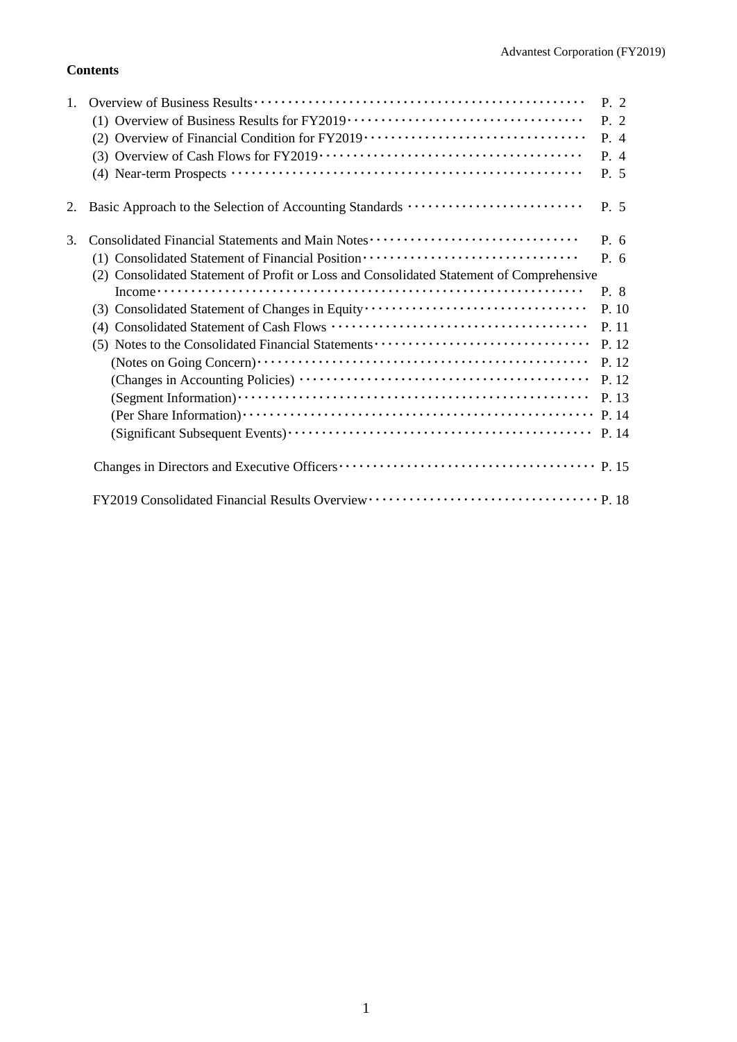## **Contents**

| 1. |                                                                                          | P. 2  |
|----|------------------------------------------------------------------------------------------|-------|
|    |                                                                                          | P.2   |
|    | (2) Overview of Financial Condition for FY2019 ·································         | P. 4  |
|    | (3)                                                                                      | P. 4  |
|    |                                                                                          | P. 5  |
| 2. | Basic Approach to the Selection of Accounting Standards                                  | P. 5  |
| 3. | Consolidated Financial Statements and Main Notes ·······························         | P. 6  |
|    | (1) Consolidated Statement of Financial Position ·······························         | P. 6  |
|    | (2) Consolidated Statement of Profit or Loss and Consolidated Statement of Comprehensive |       |
|    |                                                                                          | P. 8  |
|    | (3) Consolidated Statement of Changes in Equity                                          | P. 10 |
|    | (4)                                                                                      | P. 11 |
|    |                                                                                          | P. 12 |
|    |                                                                                          | P. 12 |
|    |                                                                                          | P. 12 |
|    |                                                                                          | P. 13 |
|    |                                                                                          |       |
|    |                                                                                          |       |
|    |                                                                                          |       |
|    |                                                                                          |       |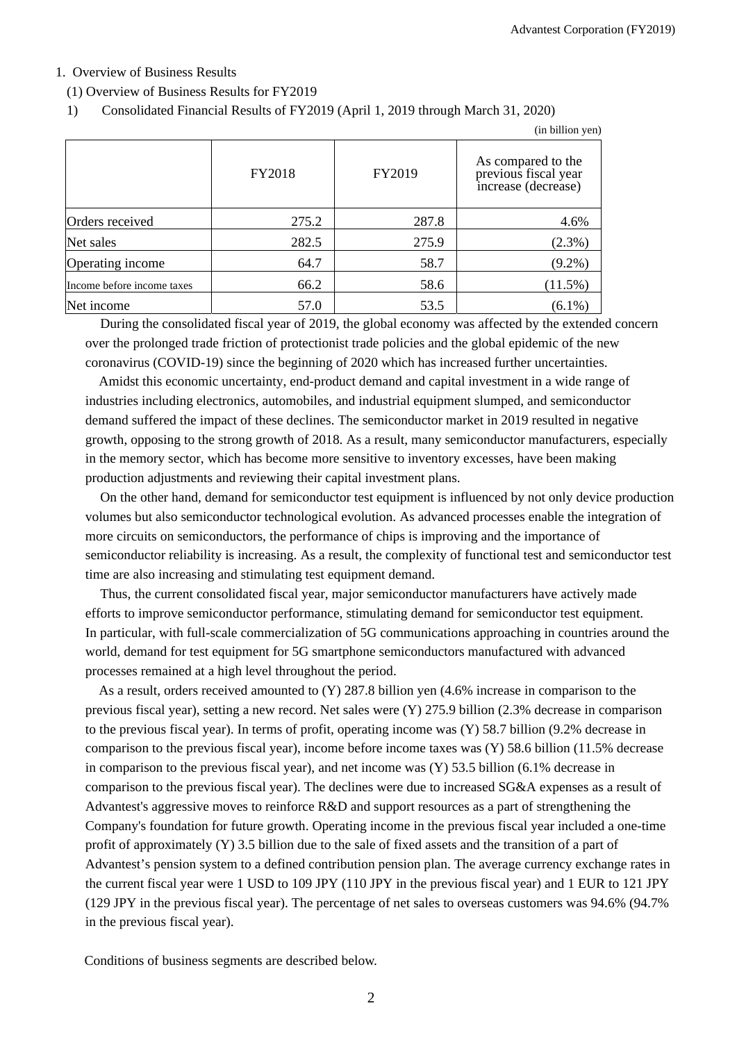## 1. Overview of Business Results

(1) Overview of Business Results for FY2019

## 1) Consolidated Financial Results of FY2019 (April 1, 2019 through March 31, 2020)

|                            |        |        | (in billion yen)                                                  |
|----------------------------|--------|--------|-------------------------------------------------------------------|
|                            | FY2018 | FY2019 | As compared to the<br>previous fiscal year<br>increase (decrease) |
| Orders received            | 275.2  | 287.8  | 4.6%                                                              |
| Net sales                  | 282.5  | 275.9  | (2.3%)                                                            |
| Operating income           | 64.7   | 58.7   | $(9.2\%)$                                                         |
| Income before income taxes | 66.2   | 58.6   | $(11.5\%)$                                                        |
| Net income                 | 57.0   | 53.5   | $(6.1\%)$                                                         |

During the consolidated fiscal year of 2019, the global economy was affected by the extended concern over the prolonged trade friction of protectionist trade policies and the global epidemic of the new coronavirus (COVID-19) since the beginning of 2020 which has increased further uncertainties.

Amidst this economic uncertainty, end-product demand and capital investment in a wide range of industries including electronics, automobiles, and industrial equipment slumped, and semiconductor demand suffered the impact of these declines. The semiconductor market in 2019 resulted in negative growth, opposing to the strong growth of 2018. As a result, many semiconductor manufacturers, especially in the memory sector, which has become more sensitive to inventory excesses, have been making production adjustments and reviewing their capital investment plans.

On the other hand, demand for semiconductor test equipment is influenced by not only device production volumes but also semiconductor technological evolution. As advanced processes enable the integration of more circuits on semiconductors, the performance of chips is improving and the importance of semiconductor reliability is increasing. As a result, the complexity of functional test and semiconductor test time are also increasing and stimulating test equipment demand.

Thus, the current consolidated fiscal year, major semiconductor manufacturers have actively made efforts to improve semiconductor performance, stimulating demand for semiconductor test equipment. In particular, with full-scale commercialization of 5G communications approaching in countries around the world, demand for test equipment for 5G smartphone semiconductors manufactured with advanced processes remained at a high level throughout the period.

As a result, orders received amounted to (Y) 287.8 billion yen (4.6% increase in comparison to the previous fiscal year), setting a new record. Net sales were (Y) 275.9 billion (2.3% decrease in comparison to the previous fiscal year). In terms of profit, operating income was (Y) 58.7 billion (9.2% decrease in comparison to the previous fiscal year), income before income taxes was (Y) 58.6 billion (11.5% decrease in comparison to the previous fiscal year), and net income was  $(Y)$  53.5 billion (6.1% decrease in comparison to the previous fiscal year). The declines were due to increased SG&A expenses as a result of Advantest's aggressive moves to reinforce R&D and support resources as a part of strengthening the Company's foundation for future growth. Operating income in the previous fiscal year included a one-time profit of approximately (Y) 3.5 billion due to the sale of fixed assets and the transition of a part of Advantest's pension system to a defined contribution pension plan. The average currency exchange rates in the current fiscal year were 1 USD to 109 JPY (110 JPY in the previous fiscal year) and 1 EUR to 121 JPY (129 JPY in the previous fiscal year). The percentage of net sales to overseas customers was 94.6% (94.7% in the previous fiscal year).

Conditions of business segments are described below.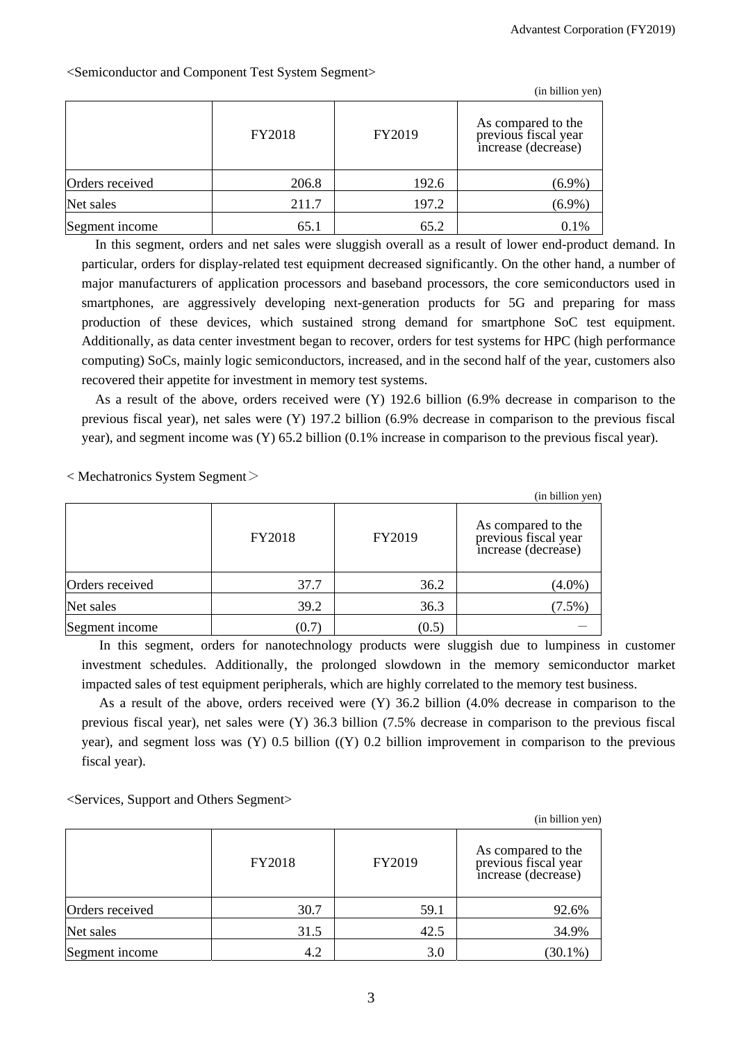|                 |        |        | (in billion yen)                                                  |
|-----------------|--------|--------|-------------------------------------------------------------------|
|                 | FY2018 | FY2019 | As compared to the<br>previous fiscal year<br>increase (decrease) |
| Orders received | 206.8  | 192.6  | $(6.9\%)$                                                         |
| Net sales       | 211.7  | 197.2  | $(6.9\%)$                                                         |
| Segment income  | 65.1   | 65.2   | 0.1%                                                              |

<Semiconductor and Component Test System Segment>

In this segment, orders and net sales were sluggish overall as a result of lower end-product demand. In particular, orders for display-related test equipment decreased significantly. On the other hand, a number of major manufacturers of application processors and baseband processors, the core semiconductors used in smartphones, are aggressively developing next-generation products for 5G and preparing for mass production of these devices, which sustained strong demand for smartphone SoC test equipment. Additionally, as data center investment began to recover, orders for test systems for HPC (high performance computing) SoCs, mainly logic semiconductors, increased, and in the second half of the year, customers also recovered their appetite for investment in memory test systems.

As a result of the above, orders received were (Y) 192.6 billion (6.9% decrease in comparison to the previous fiscal year), net sales were (Y) 197.2 billion (6.9% decrease in comparison to the previous fiscal year), and segment income was (Y) 65.2 billion (0.1% increase in comparison to the previous fiscal year).

 $<$  Mechatronics System Segment $>$ 

|                 |        |        | (in billion yen)                                                  |
|-----------------|--------|--------|-------------------------------------------------------------------|
|                 | FY2018 | FY2019 | As compared to the<br>previous fiscal year<br>increase (decrease) |
| Orders received | 37.7   | 36.2   | $(4.0\%)$                                                         |
| Net sales       | 39.2   | 36.3   | $(7.5\%)$                                                         |
| Segment income  | (0.7)  | (0.5)  |                                                                   |

In this segment, orders for nanotechnology products were sluggish due to lumpiness in customer investment schedules. Additionally, the prolonged slowdown in the memory semiconductor market impacted sales of test equipment peripherals, which are highly correlated to the memory test business.

As a result of the above, orders received were (Y) 36.2 billion (4.0% decrease in comparison to the previous fiscal year), net sales were (Y) 36.3 billion (7.5% decrease in comparison to the previous fiscal year), and segment loss was (Y) 0.5 billion ((Y) 0.2 billion improvement in comparison to the previous fiscal year).

<Services, Support and Others Segment>

|                 |        |        | (in billion yen)                                                  |
|-----------------|--------|--------|-------------------------------------------------------------------|
|                 | FY2018 | FY2019 | As compared to the<br>previous fiscal year<br>increase (decrease) |
| Orders received | 30.7   | 59.1   | 92.6%                                                             |
| Net sales       | 31.5   | 42.5   | 34.9%                                                             |
| Segment income  | 4.2    | 3.0    | $(30.1\%)$                                                        |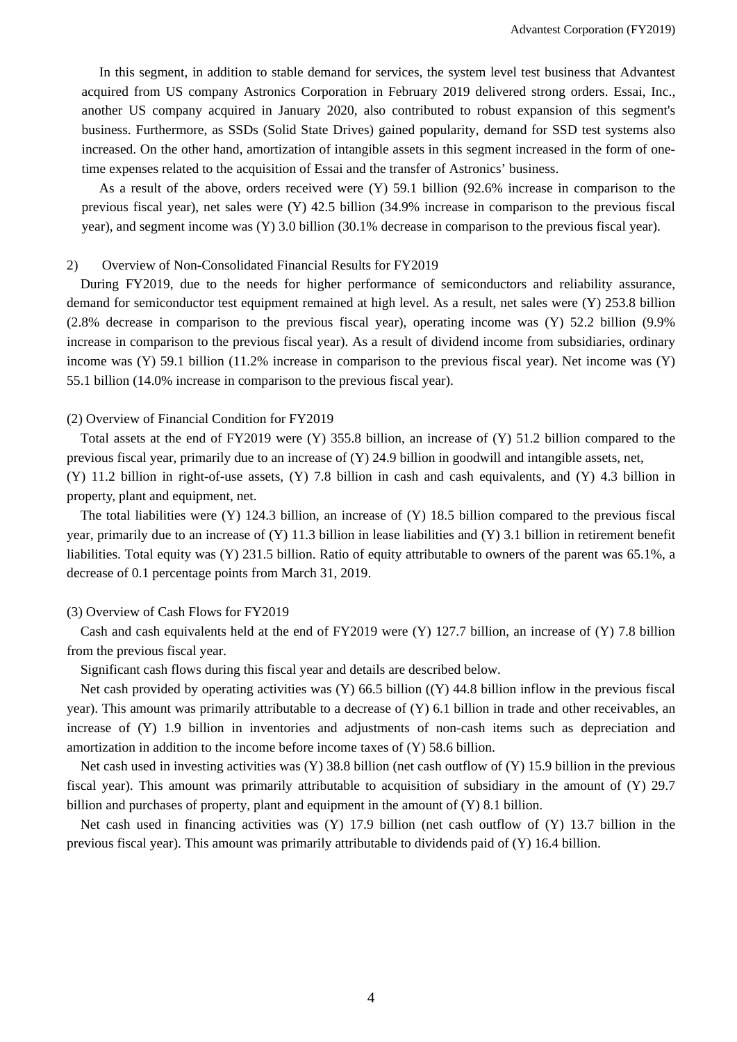In this segment, in addition to stable demand for services, the system level test business that Advantest acquired from US company Astronics Corporation in February 2019 delivered strong orders. Essai, Inc., another US company acquired in January 2020, also contributed to robust expansion of this segment's business. Furthermore, as SSDs (Solid State Drives) gained popularity, demand for SSD test systems also increased. On the other hand, amortization of intangible assets in this segment increased in the form of onetime expenses related to the acquisition of Essai and the transfer of Astronics' business.

As a result of the above, orders received were (Y) 59.1 billion (92.6% increase in comparison to the previous fiscal year), net sales were (Y) 42.5 billion (34.9% increase in comparison to the previous fiscal year), and segment income was (Y) 3.0 billion (30.1% decrease in comparison to the previous fiscal year).

## 2) Overview of Non-Consolidated Financial Results for FY2019

During FY2019, due to the needs for higher performance of semiconductors and reliability assurance, demand for semiconductor test equipment remained at high level. As a result, net sales were (Y) 253.8 billion (2.8% decrease in comparison to the previous fiscal year), operating income was (Y) 52.2 billion (9.9% increase in comparison to the previous fiscal year). As a result of dividend income from subsidiaries, ordinary income was  $(Y)$  59.1 billion (11.2% increase in comparison to the previous fiscal year). Net income was  $(Y)$ 55.1 billion (14.0% increase in comparison to the previous fiscal year).

## (2) Overview of Financial Condition for FY2019

Total assets at the end of FY2019 were (Y) 355.8 billion, an increase of (Y) 51.2 billion compared to the previous fiscal year, primarily due to an increase of (Y) 24.9 billion in goodwill and intangible assets, net,

(Y) 11.2 billion in right-of-use assets, (Y) 7.8 billion in cash and cash equivalents, and (Y) 4.3 billion in property, plant and equipment, net.

The total liabilities were (Y) 124.3 billion, an increase of (Y) 18.5 billion compared to the previous fiscal year, primarily due to an increase of (Y) 11.3 billion in lease liabilities and (Y) 3.1 billion in retirement benefit liabilities. Total equity was (Y) 231.5 billion. Ratio of equity attributable to owners of the parent was 65.1%, a decrease of 0.1 percentage points from March 31, 2019.

## (3) Overview of Cash Flows for FY2019

Cash and cash equivalents held at the end of FY2019 were (Y) 127.7 billion, an increase of (Y) 7.8 billion from the previous fiscal year.

Significant cash flows during this fiscal year and details are described below.

Net cash provided by operating activities was  $(Y)$  66.5 billion  $((Y)$  44.8 billion inflow in the previous fiscal year). This amount was primarily attributable to a decrease of (Y) 6.1 billion in trade and other receivables, an increase of (Y) 1.9 billion in inventories and adjustments of non-cash items such as depreciation and amortization in addition to the income before income taxes of (Y) 58.6 billion.

Net cash used in investing activities was  $(Y)$  38.8 billion (net cash outflow of  $(Y)$  15.9 billion in the previous fiscal year). This amount was primarily attributable to acquisition of subsidiary in the amount of (Y) 29.7 billion and purchases of property, plant and equipment in the amount of (Y) 8.1 billion.

Net cash used in financing activities was (Y) 17.9 billion (net cash outflow of (Y) 13.7 billion in the previous fiscal year). This amount was primarily attributable to dividends paid of (Y) 16.4 billion.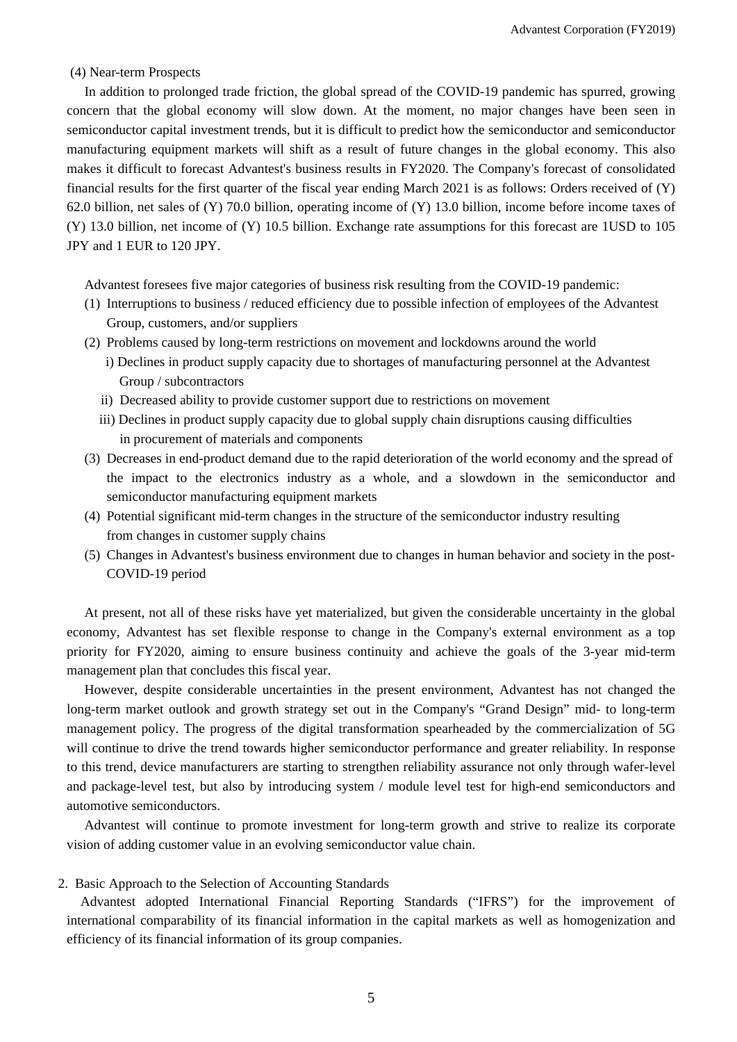#### (4) Near-term Prospects

In addition to prolonged trade friction, the global spread of the COVID-19 pandemic has spurred, growing concern that the global economy will slow down. At the moment, no major changes have been seen in semiconductor capital investment trends, but it is difficult to predict how the semiconductor and semiconductor manufacturing equipment markets will shift as a result of future changes in the global economy. This also makes it difficult to forecast Advantest's business results in FY2020. The Company's forecast of consolidated financial results for the first quarter of the fiscal year ending March 2021 is as follows: Orders received of (Y) 62.0 billion, net sales of (Y) 70.0 billion, operating income of (Y) 13.0 billion, income before income taxes of (Y) 13.0 billion, net income of (Y) 10.5 billion. Exchange rate assumptions for this forecast are 1USD to 105 JPY and 1 EUR to 120 JPY.

Advantest foresees five major categories of business risk resulting from the COVID-19 pandemic:

- (1) Interruptions to business / reduced efficiency due to possible infection of employees of the Advantest Group, customers, and/or suppliers
- (2) Problems caused by long-term restrictions on movement and lockdowns around the world
	- i) Declines in product supply capacity due to shortages of manufacturing personnel at the Advantest Group / subcontractors
	- ii) Decreased ability to provide customer support due to restrictions on movement
	- iii) Declines in product supply capacity due to global supply chain disruptions causing difficulties in procurement of materials and components
- (3) Decreases in end-product demand due to the rapid deterioration of the world economy and the spread of the impact to the electronics industry as a whole, and a slowdown in the semiconductor and semiconductor manufacturing equipment markets
- (4) Potential significant mid-term changes in the structure of the semiconductor industry resulting from changes in customer supply chains
- (5) Changes in Advantest's business environment due to changes in human behavior and society in the post-COVID-19 period

At present, not all of these risks have yet materialized, but given the considerable uncertainty in the global economy, Advantest has set flexible response to change in the Company's external environment as a top priority for FY2020, aiming to ensure business continuity and achieve the goals of the 3-year mid-term management plan that concludes this fiscal year.

However, despite considerable uncertainties in the present environment, Advantest has not changed the long-term market outlook and growth strategy set out in the Company's "Grand Design" mid- to long-term management policy. The progress of the digital transformation spearheaded by the commercialization of 5G will continue to drive the trend towards higher semiconductor performance and greater reliability. In response to this trend, device manufacturers are starting to strengthen reliability assurance not only through wafer-level and package-level test, but also by introducing system / module level test for high-end semiconductors and automotive semiconductors.

Advantest will continue to promote investment for long-term growth and strive to realize its corporate vision of adding customer value in an evolving semiconductor value chain.

#### 2. Basic Approach to the Selection of Accounting Standards

Advantest adopted International Financial Reporting Standards ("IFRS") for the improvement of international comparability of its financial information in the capital markets as well as homogenization and efficiency of its financial information of its group companies.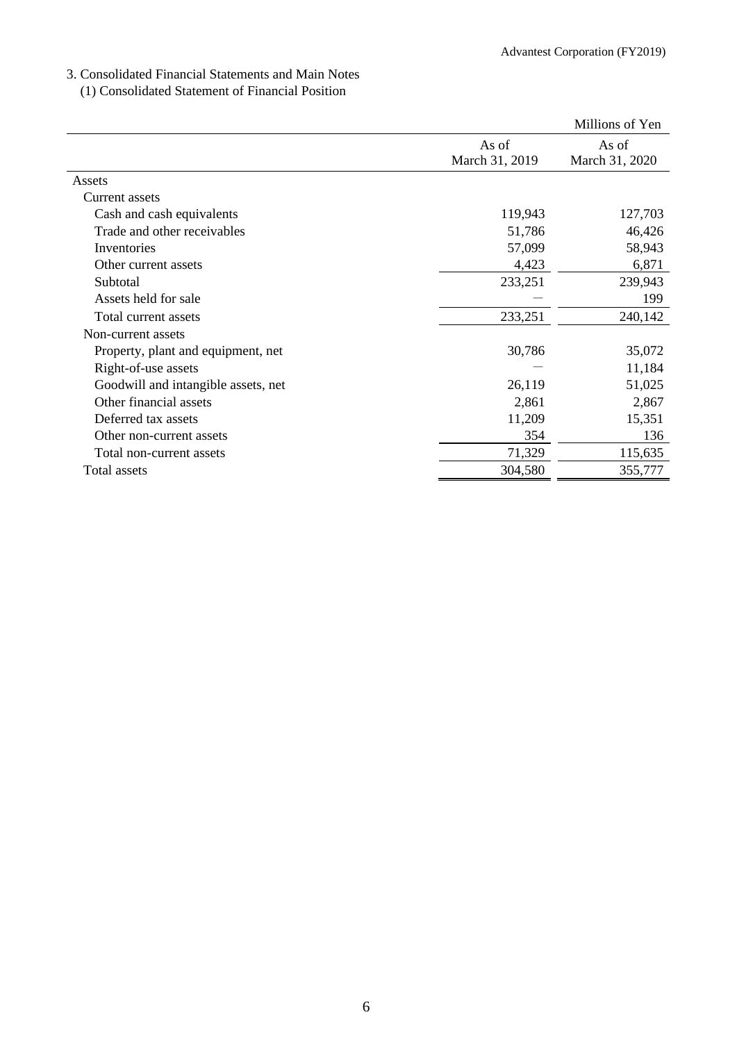## 3. Consolidated Financial Statements and Main Notes

(1) Consolidated Statement of Financial Position

|                                     |                         | Millions of Yen         |
|-------------------------------------|-------------------------|-------------------------|
|                                     | As of<br>March 31, 2019 | As of<br>March 31, 2020 |
| Assets                              |                         |                         |
| Current assets                      |                         |                         |
| Cash and cash equivalents           | 119,943                 | 127,703                 |
| Trade and other receivables         | 51,786                  | 46,426                  |
| Inventories                         | 57,099                  | 58,943                  |
| Other current assets                | 4,423                   | 6,871                   |
| Subtotal                            | 233,251                 | 239,943                 |
| Assets held for sale                |                         | 199                     |
| Total current assets                | 233,251                 | 240,142                 |
| Non-current assets                  |                         |                         |
| Property, plant and equipment, net  | 30,786                  | 35,072                  |
| Right-of-use assets                 |                         | 11,184                  |
| Goodwill and intangible assets, net | 26,119                  | 51,025                  |
| Other financial assets              | 2,861                   | 2,867                   |
| Deferred tax assets                 | 11,209                  | 15,351                  |
| Other non-current assets            | 354                     | 136                     |
| Total non-current assets            | 71,329                  | 115,635                 |
| Total assets                        | 304,580                 | 355,777                 |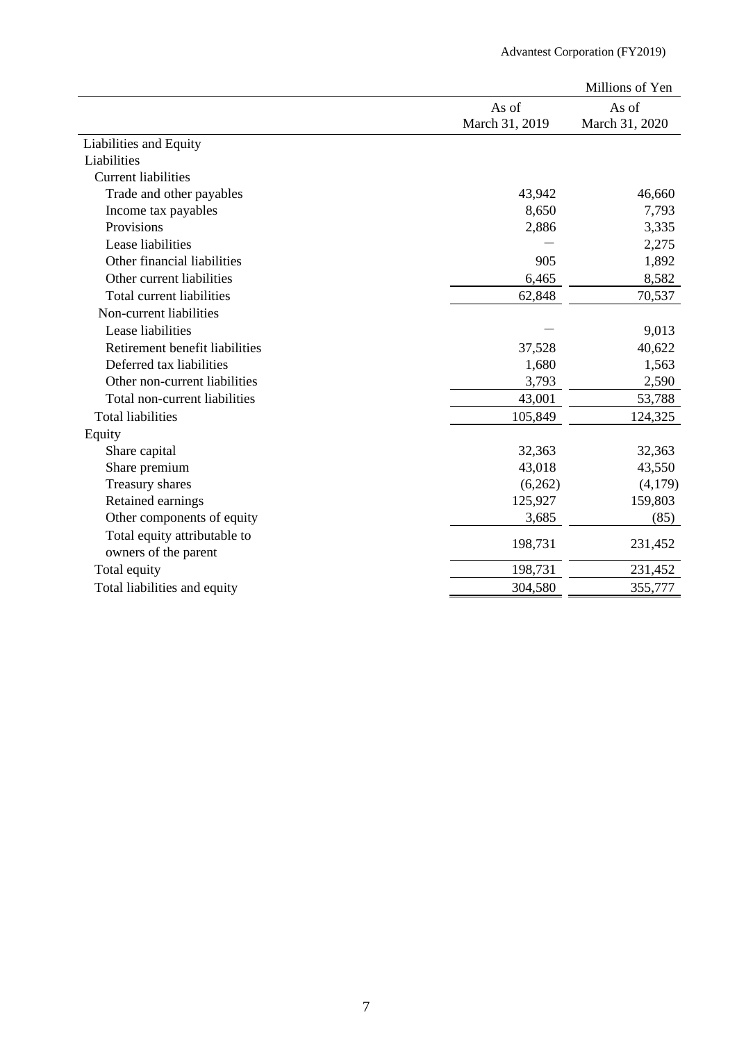|                                |                | Millions of Yen |
|--------------------------------|----------------|-----------------|
|                                | As of          | As of           |
|                                | March 31, 2019 | March 31, 2020  |
| Liabilities and Equity         |                |                 |
| Liabilities                    |                |                 |
| <b>Current liabilities</b>     |                |                 |
| Trade and other payables       | 43,942         | 46,660          |
| Income tax payables            | 8,650          | 7,793           |
| Provisions                     | 2,886          | 3,335           |
| Lease liabilities              |                | 2,275           |
| Other financial liabilities    | 905            | 1,892           |
| Other current liabilities      | 6,465          | 8,582           |
| Total current liabilities      | 62,848         | 70,537          |
| Non-current liabilities        |                |                 |
| Lease liabilities              |                | 9,013           |
| Retirement benefit liabilities | 37,528         | 40,622          |
| Deferred tax liabilities       | 1,680          | 1,563           |
| Other non-current liabilities  | 3,793          | 2,590           |
| Total non-current liabilities  | 43,001         | 53,788          |
| <b>Total liabilities</b>       | 105,849        | 124,325         |
| Equity                         |                |                 |
| Share capital                  | 32,363         | 32,363          |
| Share premium                  | 43,018         | 43,550          |
| Treasury shares                | (6,262)        | (4,179)         |
| Retained earnings              | 125,927        | 159,803         |
| Other components of equity     | 3,685          | (85)            |
| Total equity attributable to   | 198,731        | 231,452         |
| owners of the parent           |                |                 |
| Total equity                   | 198,731        | 231,452         |
| Total liabilities and equity   | 304,580        | 355,777         |
|                                |                |                 |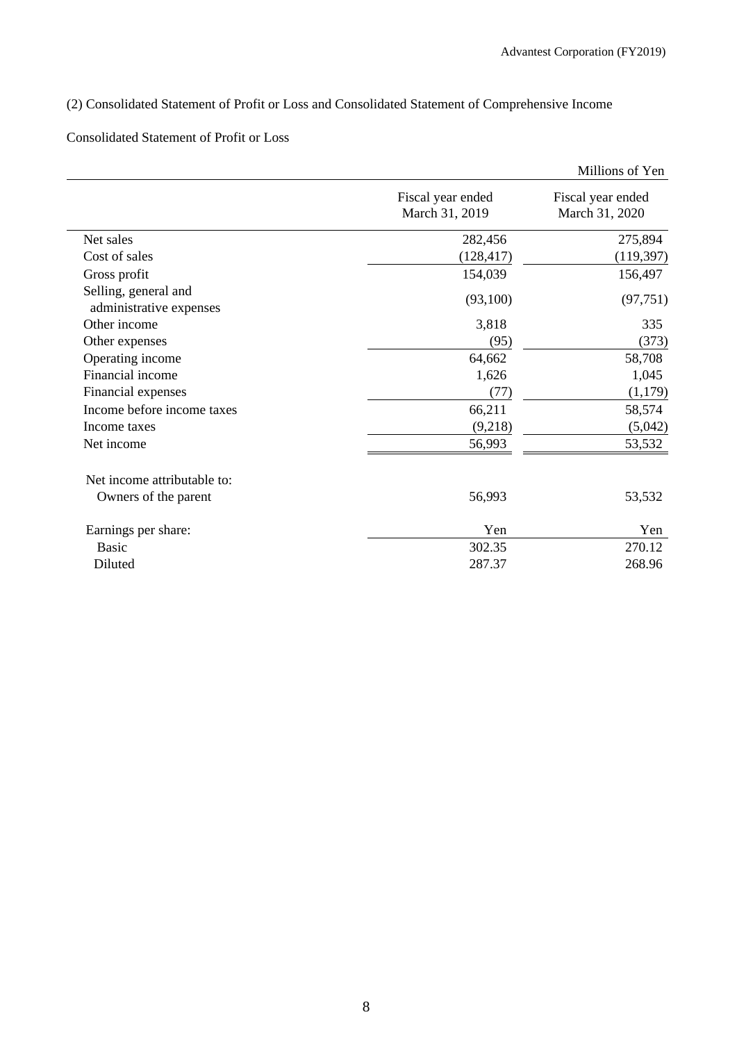## (2) Consolidated Statement of Profit or Loss and Consolidated Statement of Comprehensive Income

## Consolidated Statement of Profit or Loss

|                                     | Millions of Yen                     |
|-------------------------------------|-------------------------------------|
| Fiscal year ended<br>March 31, 2019 | Fiscal year ended<br>March 31, 2020 |
| 282,456                             | 275,894                             |
| (128, 417)                          | (119, 397)                          |
| 154,039                             | 156,497                             |
| (93,100)                            | (97, 751)                           |
| 3,818                               | 335                                 |
| (95)                                | (373)                               |
| 64,662                              | 58,708                              |
| 1,626                               | 1,045                               |
| (77)                                | (1,179)                             |
| 66,211                              | 58,574                              |
| (9,218)                             | (5,042)                             |
| 56,993                              | 53,532                              |
|                                     |                                     |
| 56,993                              | 53,532                              |
| Yen                                 | Yen                                 |
| 302.35                              | 270.12                              |
| 287.37                              | 268.96                              |
|                                     |                                     |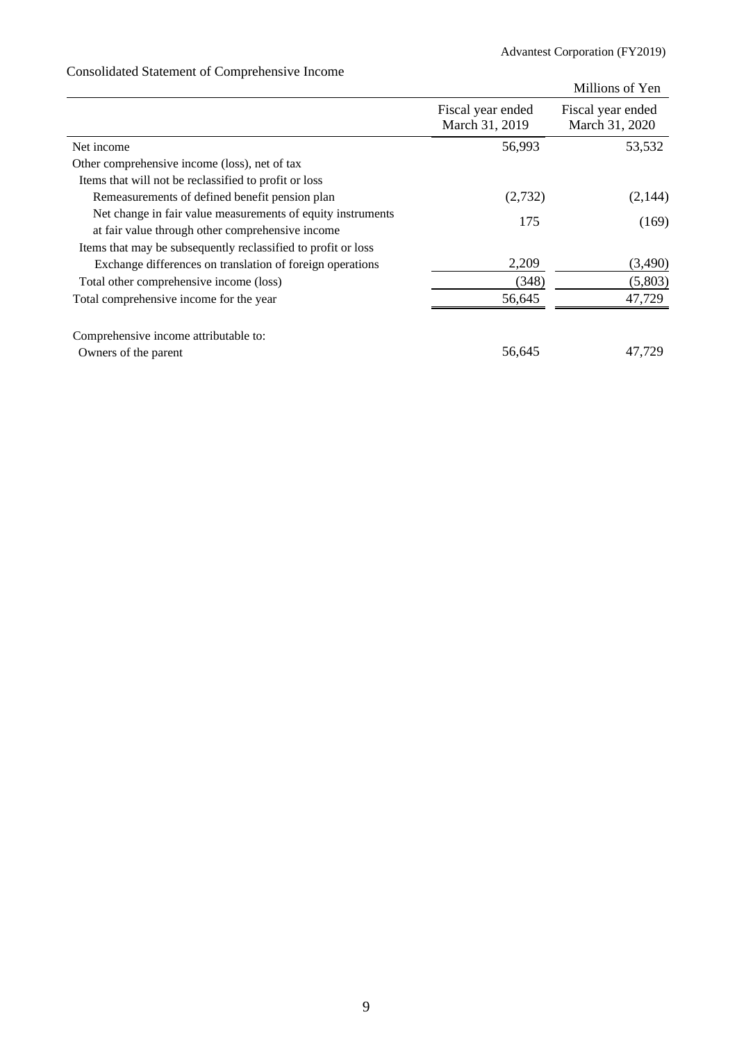## Millions of Yen Fiscal year ended March 31, 2019 Fiscal year ended March 31, 2020 Net income 56,993 53,532 Other comprehensive income (loss), net of tax Items that will not be reclassified to profit or loss Remeasurements of defined benefit pension plan (2,732) (2,144) Net change in fair value measurements of equity instruments at fair value through other comprehensive income 175 (169) Items that may be subsequently reclassified to profit or loss Exchange differences on translation of foreign operations 2,209 (3,490) Total other comprehensive income (loss) (348) (5,803) Total comprehensive income for the year 56,645 47,729 Comprehensive income attributable to: Owners of the parent 47,729

## Consolidated Statement of Comprehensive Income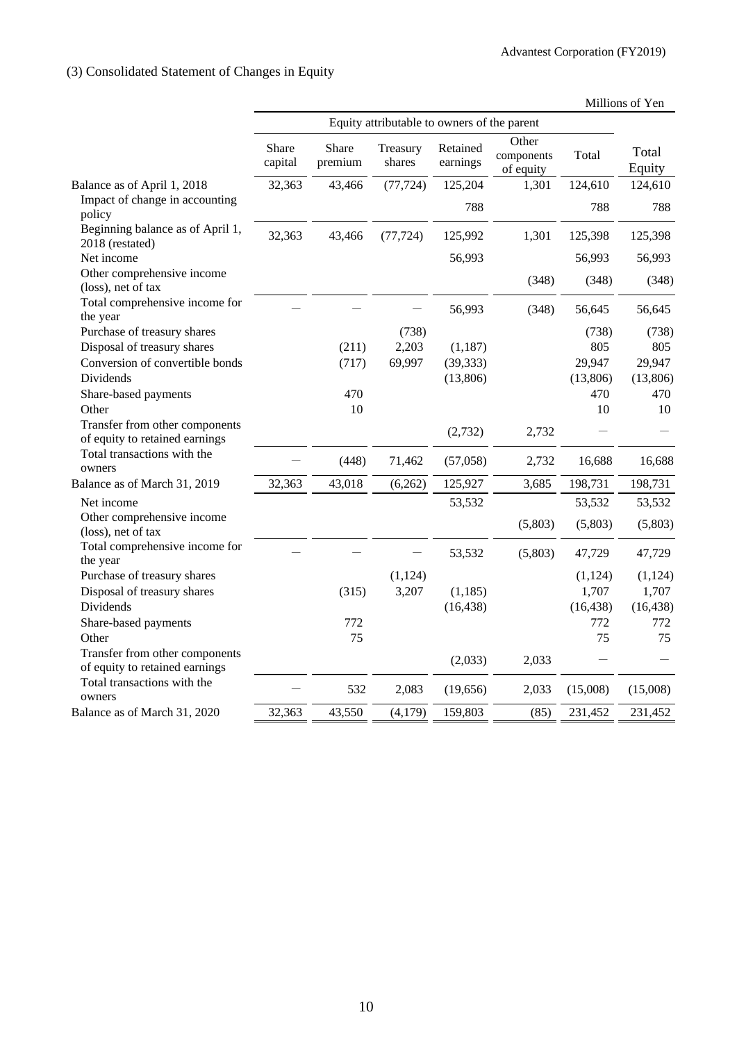## (3) Consolidated Statement of Changes in Equity

| Millions of Yen |  |
|-----------------|--|
|-----------------|--|

|                                                                  |                  |                  | Equity attributable to owners of the parent |                      |                                  |           |                 |
|------------------------------------------------------------------|------------------|------------------|---------------------------------------------|----------------------|----------------------------------|-----------|-----------------|
|                                                                  | Share<br>capital | Share<br>premium | Treasury<br>shares                          | Retained<br>earnings | Other<br>components<br>of equity | Total     | Total<br>Equity |
| Balance as of April 1, 2018                                      | 32,363           | 43,466           | (77, 724)                                   | 125,204              | 1,301                            | 124,610   | 124,610         |
| Impact of change in accounting<br>policy                         |                  |                  |                                             | 788                  |                                  | 788       | 788             |
| Beginning balance as of April 1,<br>2018 (restated)              | 32,363           | 43,466           | (77, 724)                                   | 125,992              | 1,301                            | 125,398   | 125,398         |
| Net income                                                       |                  |                  |                                             | 56,993               |                                  | 56,993    | 56,993          |
| Other comprehensive income<br>(loss), net of tax                 |                  |                  |                                             |                      | (348)                            | (348)     | (348)           |
| Total comprehensive income for<br>the year                       |                  |                  |                                             | 56,993               | (348)                            | 56,645    | 56,645          |
| Purchase of treasury shares                                      |                  |                  | (738)                                       |                      |                                  | (738)     | (738)           |
| Disposal of treasury shares                                      |                  | (211)            | 2,203                                       | (1, 187)             |                                  | 805       | 805             |
| Conversion of convertible bonds                                  |                  | (717)            | 69,997                                      | (39, 333)            |                                  | 29,947    | 29,947          |
| <b>Dividends</b>                                                 |                  |                  |                                             | (13,806)             |                                  | (13,806)  | (13,806)        |
| Share-based payments                                             |                  | 470              |                                             |                      |                                  | 470       | 470             |
| Other                                                            |                  | 10               |                                             |                      |                                  | 10        | 10              |
| Transfer from other components<br>of equity to retained earnings |                  |                  |                                             | (2,732)              | 2,732                            |           |                 |
| Total transactions with the<br>owners                            |                  | (448)            | 71,462                                      | (57,058)             | 2,732                            | 16,688    | 16,688          |
| Balance as of March 31, 2019                                     | 32,363           | 43,018           | (6,262)                                     | 125,927              | 3,685                            | 198,731   | 198,731         |
| Net income                                                       |                  |                  |                                             | 53,532               |                                  | 53,532    | 53,532          |
| Other comprehensive income<br>(loss), net of tax                 |                  |                  |                                             |                      | (5,803)                          | (5,803)   | (5,803)         |
| Total comprehensive income for<br>the year                       |                  |                  |                                             | 53,532               | (5,803)                          | 47,729    | 47,729          |
| Purchase of treasury shares                                      |                  |                  | (1, 124)                                    |                      |                                  | (1,124)   | (1,124)         |
| Disposal of treasury shares                                      |                  | (315)            | 3,207                                       | (1, 185)             |                                  | 1,707     | 1,707           |
| Dividends                                                        |                  |                  |                                             | (16, 438)            |                                  | (16, 438) | (16, 438)       |
| Share-based payments                                             |                  | 772              |                                             |                      |                                  | 772       | 772             |
| Other                                                            |                  | 75               |                                             |                      |                                  | 75        | 75              |
| Transfer from other components<br>of equity to retained earnings |                  |                  |                                             | (2,033)              | 2,033                            |           |                 |
| Total transactions with the<br>owners                            |                  | 532              | 2,083                                       | (19,656)             | 2,033                            | (15,008)  | (15,008)        |
| Balance as of March 31, 2020                                     | 32,363           | 43,550           | (4,179)                                     | 159,803              | (85)                             | 231,452   | 231,452         |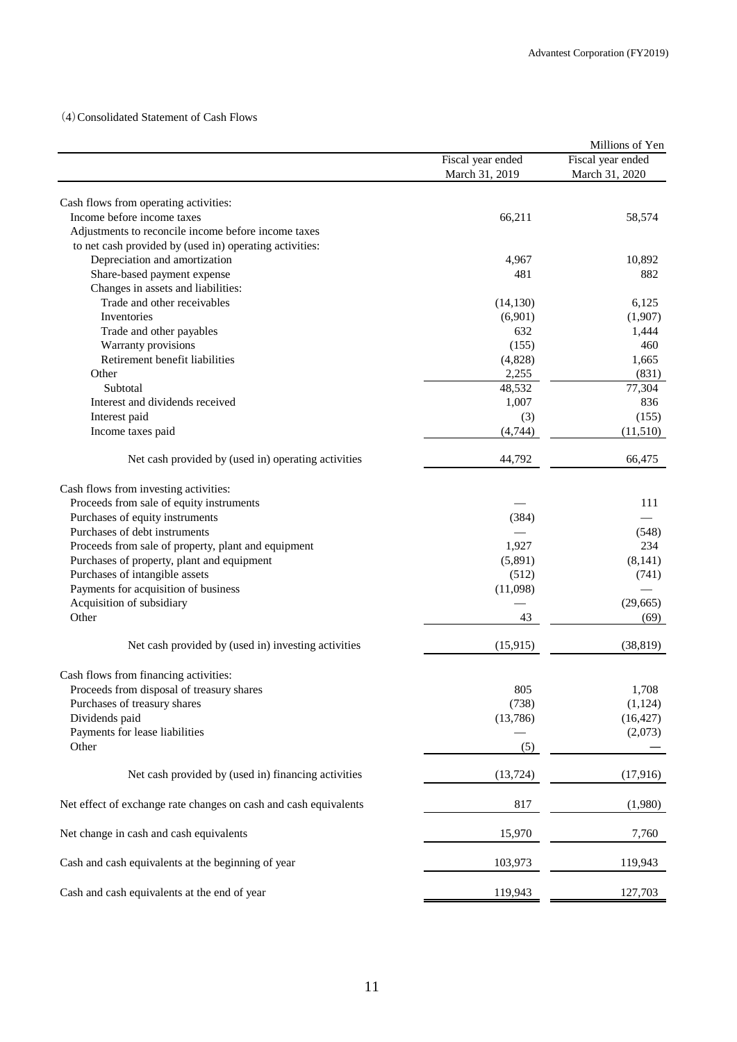## (4)Consolidated Statement of Cash Flows

|                                                                  |                   | Millions of Yen   |
|------------------------------------------------------------------|-------------------|-------------------|
|                                                                  | Fiscal year ended | Fiscal year ended |
|                                                                  | March 31, 2019    | March 31, 2020    |
|                                                                  |                   |                   |
| Cash flows from operating activities:                            |                   |                   |
| Income before income taxes                                       | 66,211            | 58,574            |
| Adjustments to reconcile income before income taxes              |                   |                   |
| to net cash provided by (used in) operating activities:          |                   |                   |
| Depreciation and amortization                                    | 4,967             | 10,892            |
| Share-based payment expense                                      | 481               | 882               |
| Changes in assets and liabilities:                               |                   |                   |
| Trade and other receivables                                      | (14, 130)         | 6,125             |
| Inventories                                                      | (6,901)           | (1,907)           |
| Trade and other payables                                         | 632               | 1,444             |
| Warranty provisions                                              | (155)             | 460               |
| Retirement benefit liabilities                                   | (4,828)           | 1,665             |
| Other                                                            | 2,255             | (831)             |
| Subtotal                                                         | 48,532            | 77,304            |
| Interest and dividends received                                  | 1,007             | 836               |
| Interest paid                                                    | (3)               | (155)             |
| Income taxes paid                                                | (4,744)           | (11,510)          |
| Net cash provided by (used in) operating activities              | 44,792            | 66,475            |
| Cash flows from investing activities:                            |                   |                   |
| Proceeds from sale of equity instruments                         |                   | 111               |
| Purchases of equity instruments                                  | (384)             |                   |
| Purchases of debt instruments                                    |                   | (548)             |
| Proceeds from sale of property, plant and equipment              | 1,927             | 234               |
| Purchases of property, plant and equipment                       | (5,891)           | (8,141)           |
| Purchases of intangible assets                                   | (512)             | (741)             |
| Payments for acquisition of business                             | (11,098)          |                   |
| Acquisition of subsidiary                                        |                   | (29, 665)         |
| Other                                                            |                   |                   |
|                                                                  | 43                | (69)              |
| Net cash provided by (used in) investing activities              | (15, 915)         | (38, 819)         |
| Cash flows from financing activities:                            |                   |                   |
| Proceeds from disposal of treasury shares                        | 805               | 1,708             |
| Purchases of treasury shares                                     | (738)             | (1, 124)          |
| Dividends paid                                                   | (13,786)          | (16, 427)         |
| Payments for lease liabilities                                   |                   | (2,073)           |
| Other                                                            | (5)               |                   |
| Net cash provided by (used in) financing activities              | (13, 724)         | (17,916)          |
| Net effect of exchange rate changes on cash and cash equivalents | 817               | (1,980)           |
| Net change in cash and cash equivalents                          | 15,970            | 7,760             |
| Cash and cash equivalents at the beginning of year               | 103,973           | 119,943           |
| Cash and cash equivalents at the end of year                     | 119,943           | 127,703           |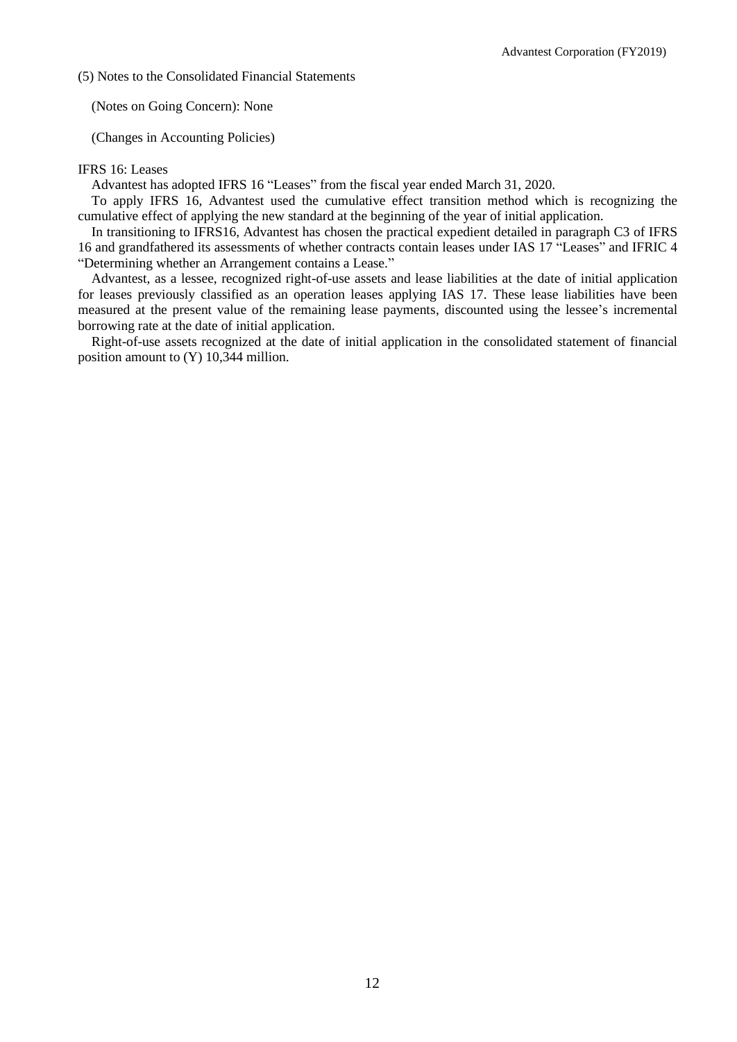(5) Notes to the Consolidated Financial Statements

(Notes on Going Concern): None

(Changes in Accounting Policies)

#### IFRS 16: Leases

Advantest has adopted IFRS 16 "Leases" from the fiscal year ended March 31, 2020.

To apply IFRS 16, Advantest used the cumulative effect transition method which is recognizing the cumulative effect of applying the new standard at the beginning of the year of initial application.

In transitioning to IFRS16, Advantest has chosen the practical expedient detailed in paragraph C3 of IFRS 16 and grandfathered its assessments of whether contracts contain leases under IAS 17 "Leases" and IFRIC 4 "Determining whether an Arrangement contains a Lease."

Advantest, as a lessee, recognized right-of-use assets and lease liabilities at the date of initial application for leases previously classified as an operation leases applying IAS 17. These lease liabilities have been measured at the present value of the remaining lease payments, discounted using the lessee's incremental borrowing rate at the date of initial application.

Right-of-use assets recognized at the date of initial application in the consolidated statement of financial position amount to (Y) 10,344 million.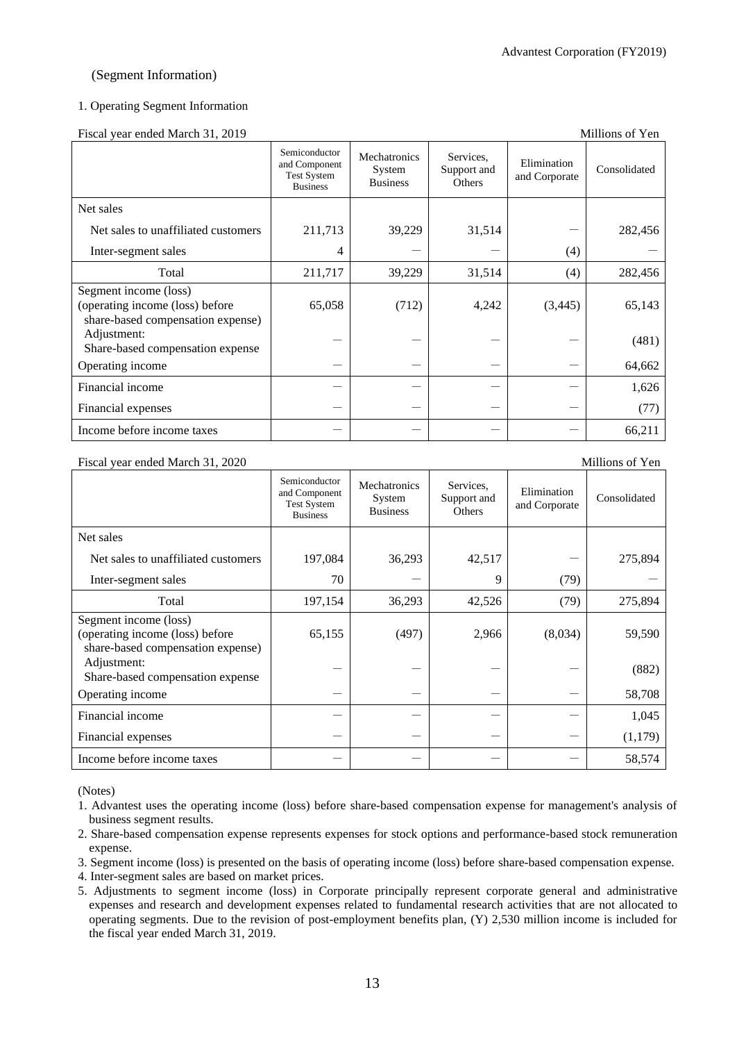#### Advantest Corporation (FY2019)

## (Segment Information)

#### 1. Operating Segment Information

Fiscal year ended March 31, 2019 Millions of Yen

|                                                                                               | Semiconductor<br>and Component<br><b>Test System</b><br><b>Business</b> | Mechatronics<br>System<br><b>Business</b> | Services,<br>Support and<br>Others | Elimination<br>and Corporate | Consolidated |
|-----------------------------------------------------------------------------------------------|-------------------------------------------------------------------------|-------------------------------------------|------------------------------------|------------------------------|--------------|
| Net sales                                                                                     |                                                                         |                                           |                                    |                              |              |
| Net sales to unaffiliated customers                                                           | 211,713                                                                 | 39,229                                    | 31,514                             |                              | 282,456      |
| Inter-segment sales                                                                           | 4                                                                       |                                           |                                    | (4)                          |              |
| Total                                                                                         | 211,717                                                                 | 39,229                                    | 31,514                             | (4)                          | 282,456      |
| Segment income (loss)<br>(operating income (loss) before<br>share-based compensation expense) | 65,058                                                                  | (712)                                     | 4,242                              | (3, 445)                     | 65,143       |
| Adjustment:<br>Share-based compensation expense                                               |                                                                         |                                           |                                    |                              | (481)        |
| Operating income                                                                              |                                                                         |                                           |                                    |                              | 64,662       |
| Financial income                                                                              |                                                                         |                                           |                                    |                              | 1,626        |
| Financial expenses                                                                            |                                                                         |                                           |                                    |                              | (77)         |
| Income before income taxes                                                                    |                                                                         |                                           |                                    |                              | 66,211       |

#### Fiscal year ended March 31, 2020 Millions of Yen

|                                                                                               | Semiconductor<br>and Component<br><b>Test System</b><br><b>Business</b> | Mechatronics<br>System<br><b>Business</b> | Services,<br>Support and<br>Others | Elimination<br>and Corporate | Consolidated |
|-----------------------------------------------------------------------------------------------|-------------------------------------------------------------------------|-------------------------------------------|------------------------------------|------------------------------|--------------|
| Net sales                                                                                     |                                                                         |                                           |                                    |                              |              |
| Net sales to unaffiliated customers                                                           | 197,084                                                                 | 36,293                                    | 42,517                             |                              | 275,894      |
| Inter-segment sales                                                                           | 70                                                                      |                                           | 9                                  | (79)                         |              |
| Total                                                                                         | 197,154                                                                 | 36,293                                    | 42,526                             | (79)                         | 275,894      |
| Segment income (loss)<br>(operating income (loss) before<br>share-based compensation expense) | 65,155                                                                  | (497)                                     | 2,966                              | (8,034)                      | 59,590       |
| Adjustment:<br>Share-based compensation expense                                               |                                                                         |                                           |                                    |                              | (882)        |
| Operating income                                                                              |                                                                         |                                           |                                    |                              | 58,708       |
| Financial income                                                                              |                                                                         |                                           |                                    |                              | 1,045        |
| Financial expenses                                                                            |                                                                         |                                           |                                    |                              | (1,179)      |
| Income before income taxes                                                                    |                                                                         |                                           |                                    |                              | 58,574       |

(Notes)

- 1. Advantest uses the operating income (loss) before share-based compensation expense for management's analysis of business segment results.
- 2. Share-based compensation expense represents expenses for stock options and performance-based stock remuneration expense.
- 3. Segment income (loss) is presented on the basis of operating income (loss) before share-based compensation expense.

4. Inter-segment sales are based on market prices.

5. Adjustments to segment income (loss) in Corporate principally represent corporate general and administrative expenses and research and development expenses related to fundamental research activities that are not allocated to operating segments. Due to the revision of post-employment benefits plan, (Y) 2,530 million income is included for the fiscal year ended March 31, 2019.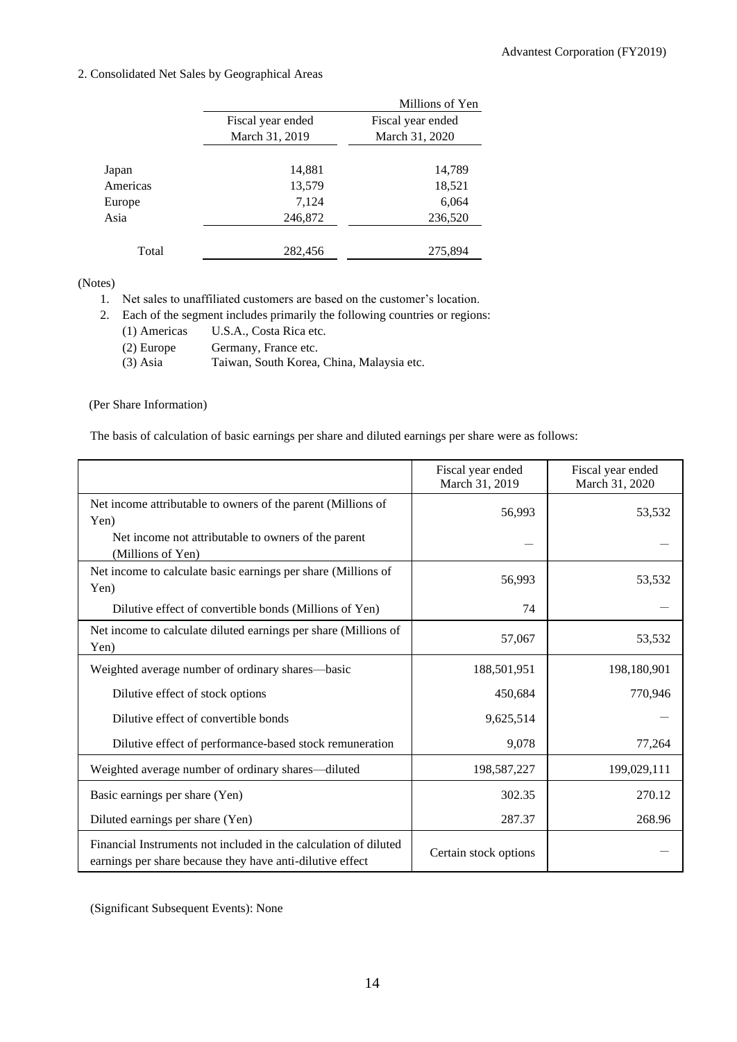## 2. Consolidated Net Sales by Geographical Areas

|          |                   | Millions of Yen   |
|----------|-------------------|-------------------|
|          | Fiscal year ended | Fiscal year ended |
|          | March 31, 2019    | March 31, 2020    |
|          |                   |                   |
| Japan    | 14,881            | 14,789            |
| Americas | 13,579            | 18,521            |
| Europe   | 7,124             | 6,064             |
| Asia     | 246,872           | 236,520           |
| Total    | 282,456           | 275,894           |
|          |                   |                   |

### (Notes)

1. Net sales to unaffiliated customers are based on the customer's location.

2. Each of the segment includes primarily the following countries or regions:

| (1) Americas | U.S.A., Costa Rica etc.                   |
|--------------|-------------------------------------------|
| $(2)$ Europe | Germany, France etc.                      |
| $(3)$ Asia   | Taiwan, South Korea, China, Malaysia etc. |

## (Per Share Information)

The basis of calculation of basic earnings per share and diluted earnings per share were as follows:

|                                                                                                                               | Fiscal year ended<br>March 31, 2019 | Fiscal year ended<br>March 31, 2020 |
|-------------------------------------------------------------------------------------------------------------------------------|-------------------------------------|-------------------------------------|
| Net income attributable to owners of the parent (Millions of<br>Yen)                                                          | 56,993                              | 53,532                              |
| Net income not attributable to owners of the parent<br>(Millions of Yen)                                                      |                                     |                                     |
| Net income to calculate basic earnings per share (Millions of<br>Yen)                                                         | 56,993                              | 53,532                              |
| Dilutive effect of convertible bonds (Millions of Yen)                                                                        | 74                                  |                                     |
| Net income to calculate diluted earnings per share (Millions of<br>Yen)                                                       | 57,067                              | 53,532                              |
| Weighted average number of ordinary shares-basic                                                                              | 188,501,951                         | 198,180,901                         |
| Dilutive effect of stock options                                                                                              | 450,684                             | 770,946                             |
| Dilutive effect of convertible bonds                                                                                          | 9,625,514                           |                                     |
| Dilutive effect of performance-based stock remuneration                                                                       | 9,078                               | 77,264                              |
| Weighted average number of ordinary shares—diluted                                                                            | 198,587,227                         | 199,029,111                         |
| Basic earnings per share (Yen)                                                                                                | 302.35                              | 270.12                              |
| Diluted earnings per share (Yen)                                                                                              | 287.37                              | 268.96                              |
| Financial Instruments not included in the calculation of diluted<br>earnings per share because they have anti-dilutive effect | Certain stock options               |                                     |

(Significant Subsequent Events): None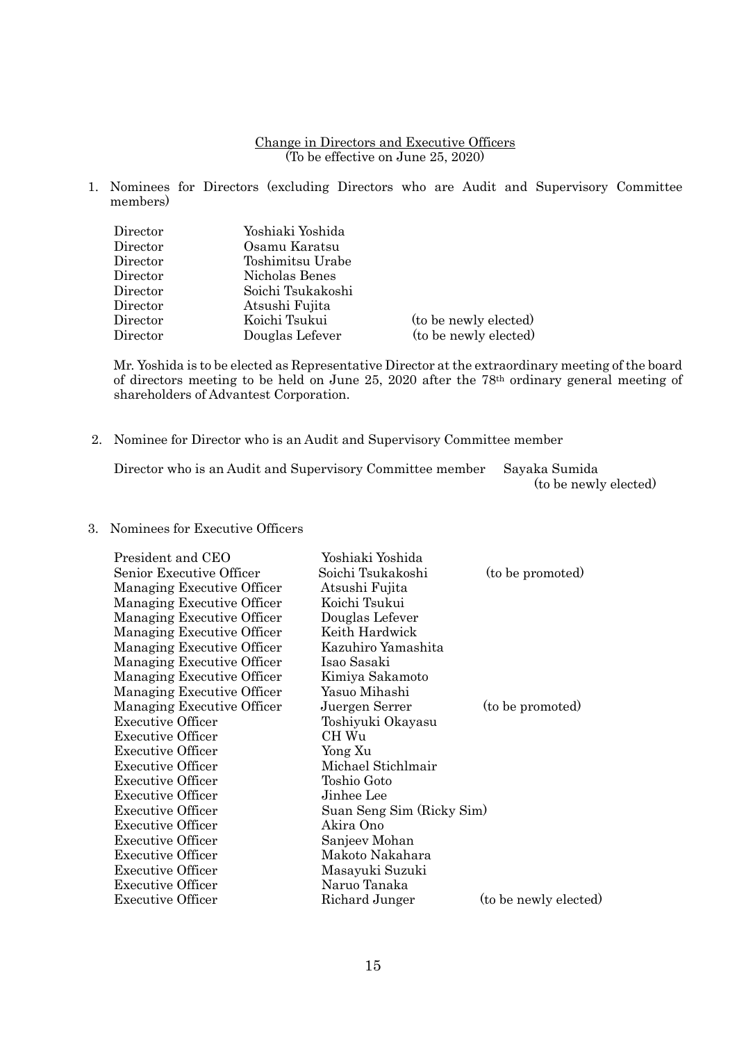#### Change in Directors and Executive Officers (To be effective on June 25, 2020)

1. Nominees for Directors (excluding Directors who are Audit and Supervisory Committee members)

| Director | Yoshiaki Yoshida  |                       |
|----------|-------------------|-----------------------|
| Director | Osamu Karatsu     |                       |
| Director | Toshimitsu Urabe  |                       |
| Director | Nicholas Benes    |                       |
| Director | Soichi Tsukakoshi |                       |
| Director | Atsushi Fujita    |                       |
| Director | Koichi Tsukui     | (to be newly elected) |
| Director | Douglas Lefever   | (to be newly elected) |

Mr. Yoshida is to be elected as Representative Director at the extraordinary meeting of the board of directors meeting to be held on June 25, 2020 after the 78th ordinary general meeting of shareholders of Advantest Corporation.

2. Nominee for Director who is an Audit and Supervisory Committee member

Director who is an Audit and Supervisory Committee member Sayaka Sumida (to be newly elected)

## 3. Nominees for Executive Officers

| President and CEO          | Yoshiaki Yoshida          |                       |
|----------------------------|---------------------------|-----------------------|
| Senior Executive Officer   | Soichi Tsukakoshi         | (to be promoted)      |
| Managing Executive Officer | Atsushi Fujita            |                       |
| Managing Executive Officer | Koichi Tsukui             |                       |
| Managing Executive Officer | Douglas Lefever           |                       |
| Managing Executive Officer | Keith Hardwick            |                       |
| Managing Executive Officer | Kazuhiro Yamashita        |                       |
| Managing Executive Officer | Isao Sasaki               |                       |
| Managing Executive Officer | Kimiya Sakamoto           |                       |
| Managing Executive Officer | Yasuo Mihashi             |                       |
| Managing Executive Officer | Juergen Serrer            | (to be promoted)      |
| <b>Executive Officer</b>   | Toshiyuki Okayasu         |                       |
| <b>Executive Officer</b>   | CH Wu                     |                       |
| <b>Executive Officer</b>   | Yong Xu                   |                       |
| <b>Executive Officer</b>   | Michael Stichlmair        |                       |
| <b>Executive Officer</b>   | Toshio Goto               |                       |
| <b>Executive Officer</b>   | Jinhee Lee                |                       |
| <b>Executive Officer</b>   | Suan Seng Sim (Ricky Sim) |                       |
| Executive Officer          | Akira Ono                 |                       |
| <b>Executive Officer</b>   | Sanjeev Mohan             |                       |
| Executive Officer          | Makoto Nakahara           |                       |
| <b>Executive Officer</b>   | Masayuki Suzuki           |                       |
| <b>Executive Officer</b>   | Naruo Tanaka              |                       |
| <b>Executive Officer</b>   | Richard Junger            | (to be newly elected) |
|                            |                           |                       |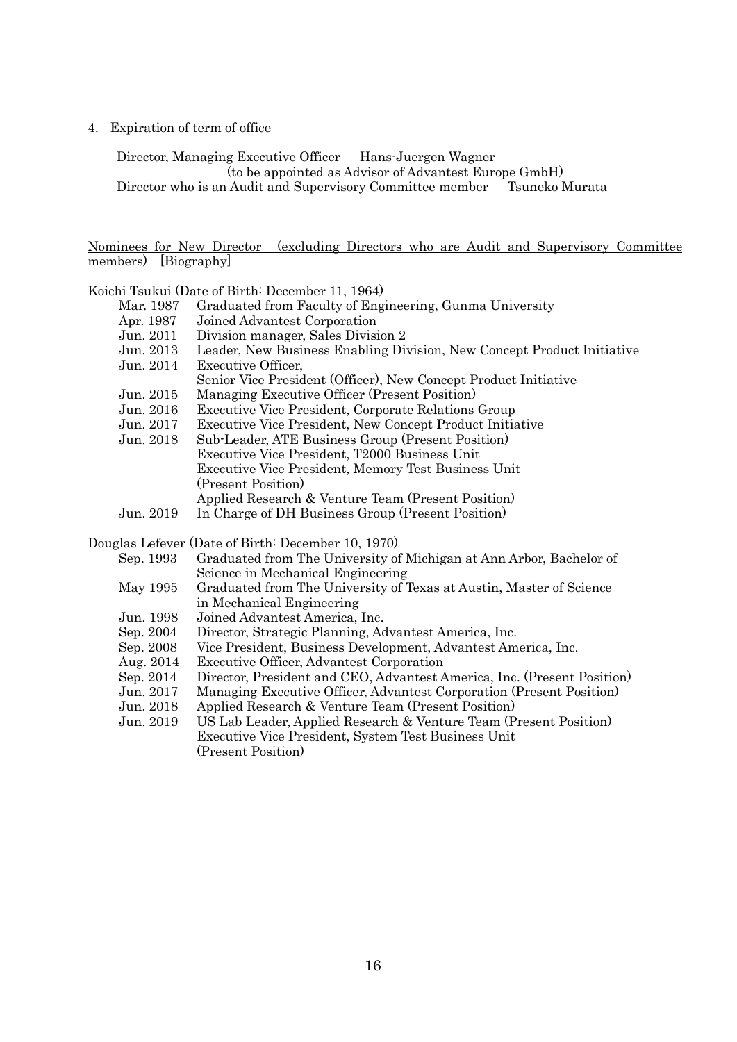4. Expiration of term of office

Director, Managing Executive Officer Hans-Juergen Wagner (to be appointed as Advisor of Advantest Europe GmbH) Director who is an Audit and Supervisory Committee member Tsuneko Murata

### Nominees for New Director (excluding Directors who are Audit and Supervisory Committee members) [Biography]

Koichi Tsukui (Date of Birth: December 11, 1964)

- Mar. 1987 Graduated from Faculty of Engineering, Gunma University<br>Apr. 1987 Joined Advantest Corporation
- Apr. 1987 Joined Advantest Corporation<br>Jun. 2011 Division manager, Sales Divisi
- Division manager, Sales Division 2

|                                                                   |  | Jun. 2013 Leader, New Business Enabling Division, New Concept Product Initiative |  |  |  |
|-------------------------------------------------------------------|--|----------------------------------------------------------------------------------|--|--|--|
| $\mathbf{F}$ $\alpha \alpha + 1$ $\mathbf{F}$ $\alpha \alpha + 1$ |  |                                                                                  |  |  |  |

Jun. 2014 Executive Officer,

| Senior Vice President (Officer), New Concept Product Initiative |
|-----------------------------------------------------------------|
|-----------------------------------------------------------------|

- Jun. 2015 Managing Executive Officer (Present Position)
- Executive Vice President, Corporate Relations Group
- 
- Jun. 2017 Executive Vice President, New Concept Product Initiative Sub-Leader, ATE Business Group (Present Position) Executive Vice President, T2000 Business Unit Executive Vice President, Memory Test Business Unit (Present Position) Applied Research & Venture Team (Present Position)
- Jun. 2019 In Charge of DH Business Group (Present Position)

Douglas Lefever (Date of Birth: December 10, 1970)

| Graduated from The University of Michigan at Ann Arbor, Bachelor of     |
|-------------------------------------------------------------------------|
| Science in Mechanical Engineering                                       |
| Graduated from The University of Texas at Austin, Master of Science     |
| in Mechanical Engineering                                               |
| Joined Advantest America, Inc.                                          |
| Director, Strategic Planning, Advantest America, Inc.                   |
| Vice President, Business Development, Advantest America, Inc.           |
| Executive Officer, Advantest Corporation                                |
| Director, President and CEO, Advantest America, Inc. (Present Position) |
| Managing Executive Officer, Advantest Corporation (Present Position)    |
| Applied Research & Venture Team (Present Position)                      |
| US Lab Leader, Applied Research & Venture Team (Present Position)       |
| Executive Vice President, System Test Business Unit                     |
| (Present Position)                                                      |
|                                                                         |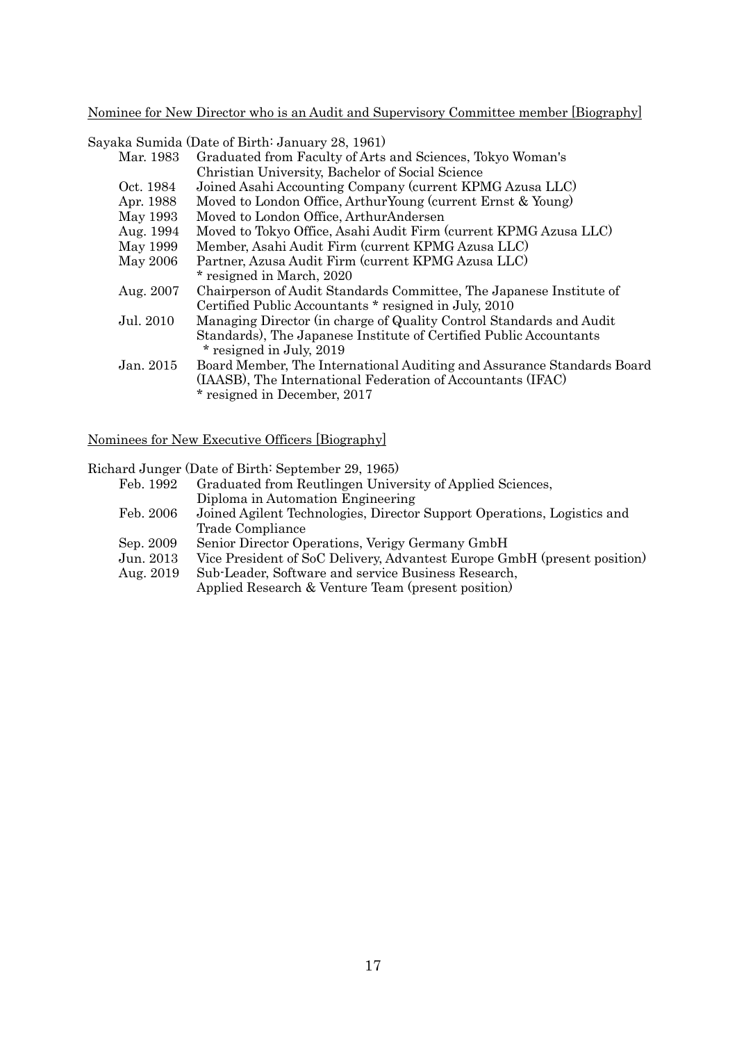Nominee for New Director who is an Audit and Supervisory Committee member [Biography]

Sayaka Sumida (Date of Birth: January 28, 1961)

| Mar. 1983 | Graduated from Faculty of Arts and Sciences, Tokyo Woman's             |
|-----------|------------------------------------------------------------------------|
|           | Christian University, Bachelor of Social Science                       |
| Oct. 1984 | Joined Asahi Accounting Company (current KPMG Azusa LLC)               |
| Apr. 1988 | Moved to London Office, Arthur Young (current Ernst & Young)           |
| May 1993  | Moved to London Office, ArthurAndersen                                 |
| Aug. 1994 | Moved to Tokyo Office, Asahi Audit Firm (current KPMG Azusa LLC)       |
| May 1999  | Member, Asahi Audit Firm (current KPMG Azusa LLC)                      |
| May 2006  | Partner, Azusa Audit Firm (current KPMG Azusa LLC)                     |
|           | * resigned in March, 2020                                              |
| Aug. 2007 | Chairperson of Audit Standards Committee, The Japanese Institute of    |
|           | Certified Public Accountants * resigned in July, 2010                  |
| Jul. 2010 | Managing Director (in charge of Quality Control Standards and Audit    |
|           | Standards), The Japanese Institute of Certified Public Accountants     |
|           | * resigned in July, 2019                                               |
| Jan. 2015 | Board Member, The International Auditing and Assurance Standards Board |
|           | (IAASB), The International Federation of Accountants (IFAC)            |
|           | * resigned in December, 2017                                           |

Nominees for New Executive Officers [Biography]

Richard Junger (Date of Birth: September 29, 1965)

|           | $\alpha$ . The state of the state of $\alpha$ is the state of $\alpha$ is the state of $\alpha$ is the state of $\alpha$ |
|-----------|--------------------------------------------------------------------------------------------------------------------------|
| Feb. 1992 | Graduated from Reutlingen University of Applied Sciences,                                                                |
|           | Diploma in Automation Engineering                                                                                        |
| Feb. 2006 | Joined Agilent Technologies, Director Support Operations, Logistics and                                                  |
|           | Trade Compliance                                                                                                         |
| Sep. 2009 | Senior Director Operations, Verigy Germany GmbH                                                                          |
| Jun. 2013 | Vice President of SoC Delivery, Advantest Europe GmbH (present position)                                                 |
| Aug. 2019 | Sub-Leader, Software and service Business Research,                                                                      |
|           | Applied Research & Venture Team (present position)                                                                       |
|           |                                                                                                                          |